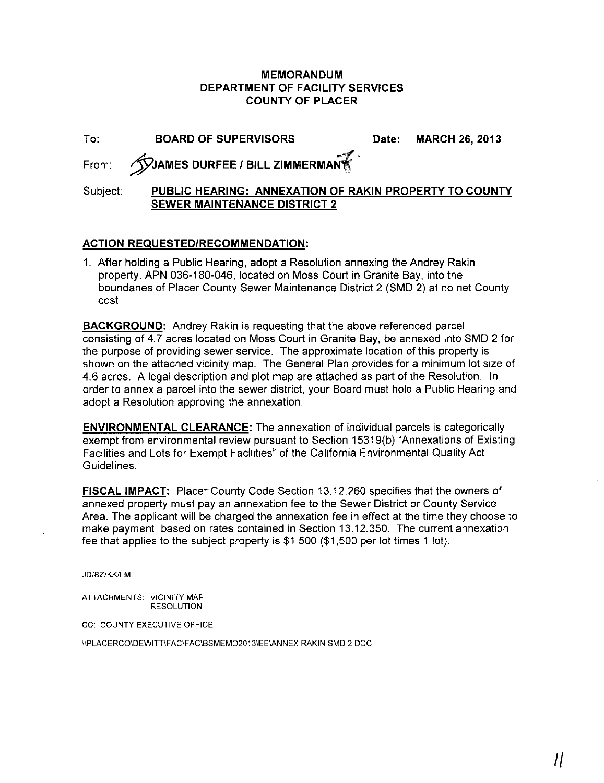## **MEMORANDUM DEPARTMENT OF FACILITY SERVICES COUNTY OF PLACER**

| $To$ .   | <b>BOARD OF SUPERVISORS</b>                                                                   | Date: MARCH 26, 2013 |
|----------|-----------------------------------------------------------------------------------------------|----------------------|
|          | From: WAMES DURFEE / BILL ZIMMERMAN                                                           |                      |
| Subject: | PUBLIC HEARING: ANNEXATION OF RAKIN PROPERTY TO COUNTY<br><b>SEWER MAINTENANCE DISTRICT 2</b> |                      |

## **ACTION REQUESTED/RECOMMENDATION:**

1. After holding a Public Hearing, adopt a Resolution annexing the Andrey Rakin property, APN 036-180-046, located on Moss Court in Granite Bay, into the boundaries of Placer County Sewer Maintenance District 2 (SMD 2) at no net County cost:

**BACKGROUND:** Andrey Rakin is requesting that the above referenced parcel, consisting of 4.7 acres located on Moss Court in Granite Bay, be annexed into SMD 2 for the purpose of providing sewer service. The approximate location of this property is shown on the attached vicinity map. The General Plan provides for a minimum lot size of 4.6 acres. A legal description and plot map are attached as part of the Resolution. In order to annex a parcel into the sewer district, your Board must hold a Public Hearing and adopt a Resolution approving the annexation.

**ENVIRONMENTAL CLEARANCE:** The annexation of individual parcels is categorically exempt from environmental review pursuant to Section 15319(b) "Annexations of Existing Facilities and Lots for Exempt Facilities" of the California Environmental Quality Act Guidelines.

**FISCAL IMPACT:** Placer County Code Section 13.12.260 specifies that the owners of annexed property must pay an annexation fee to the Sewer District or County Service Area. The applicant will be charged the annexation fee in effect at the time they choose to make payment, based on rates contained in Section 13.12.350. The current annexation fee that applies to the subject property is \$1,500 (\$1,500 per lot times 1 lot).

JD/BZ/KKILM

ATTACHMENTS: VICINITY MAP RESOLUTION

cc: COUNTY EXECUTIVE OFFICE

IIPLACERCOIDEWITTIFACIFACIBSMEM02013IEE\ANNEX RAKIN SMD 2.DOC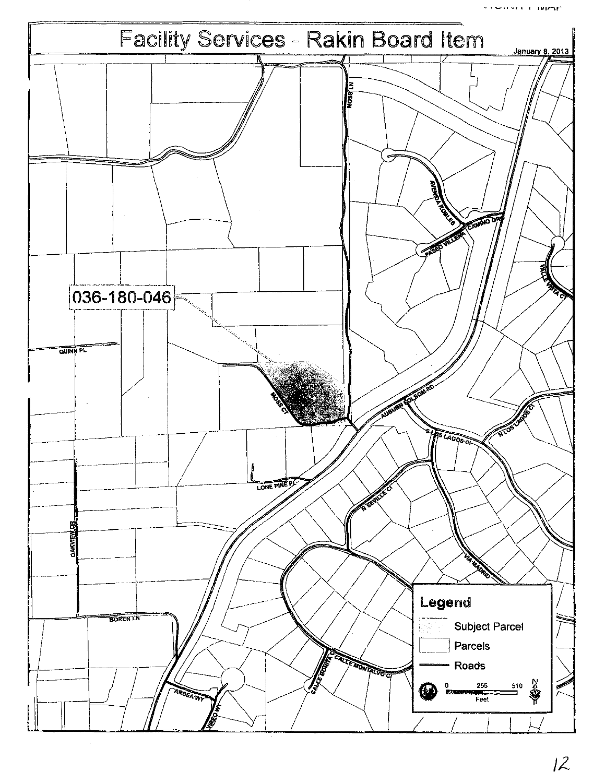·\_.,\Jr, , l"'lr\r~

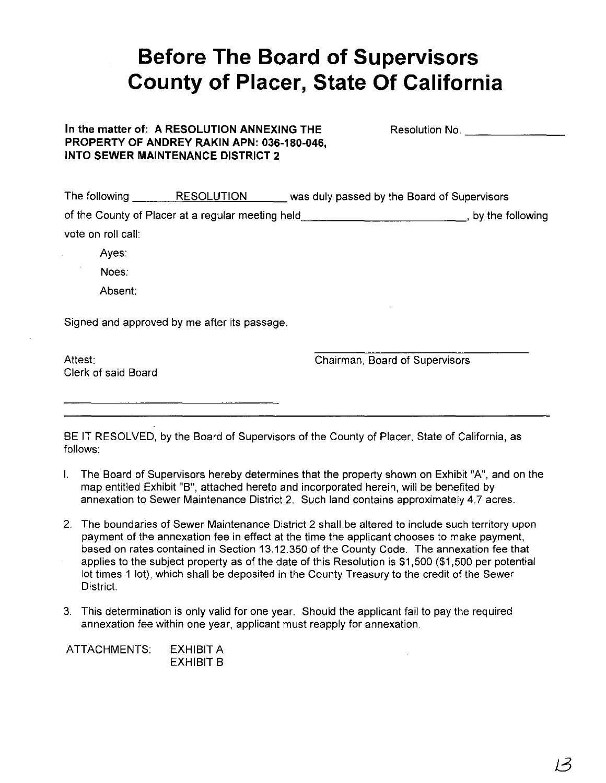## **Before The Board of Supervisors County of Placer, State Of California**

| In the matter of: A RESOLUTION ANNEXING THE |
|---------------------------------------------|
| PROPERTY OF ANDREY RAKIN APN: 036-180-046,  |
| INTO SEWER MAINTENANCE DISTRICT 2           |

Resolution No. \_

| The following      | <b>RESOLUTION</b>                                 | was duly passed by the Board of Supervisors |
|--------------------|---------------------------------------------------|---------------------------------------------|
|                    | of the County of Placer at a regular meeting held | , by the following                          |
| vote on roll call: |                                                   |                                             |
|                    |                                                   |                                             |

Ayes:

Noes:

Absent:

Signed and approved by me after its passage.

Attest: Clerk of said Board Chairman, Board of Supervisors

BE IT RESOLVED, by the Board of Supervisors of the County of Placer, State of California, as follows:

- I. The Board of Supervisors hereby determines that the property shown on Exhibit "A", and on the map entitled Exhibit "B", attached hereto and incorporated herein, will be benefited by annexation to Sewer Maintenance District 2. Such land contains approximately 4.7 acres.
- 2. The boundaries of Sewer Maintenance District 2 shall be altered to include such territory upon payment of the annexation fee in effect at the time the applicant chooses to make payment, based on rates contained in Section 13.12.350 of the County Code. The annexation fee that applies to the subject property as of the date of this Resolution is \$1,500 (\$1,500 per potential lot times 1 lot), which shall be deposited in the County Treasury to the credit of the Sewer District.
- 3. This determination is only valid for one year. Should the applicant fail to pay the required annexation fee within one year, applicant must reapply for annexation.

ATTACHMENTS: EXHIBIT A EXHIBIT B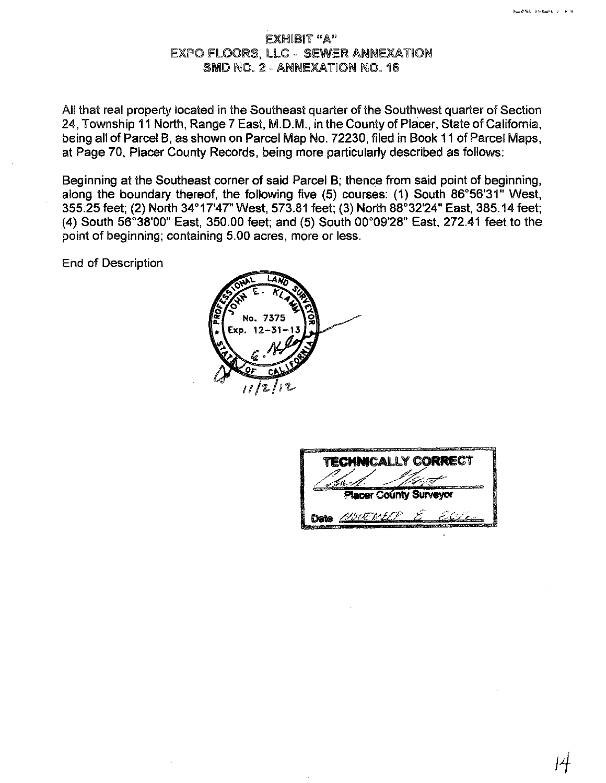## EXHIBIT "A" EXPO FLOORS, LLC - SEWER ANNEXATION SMD NO. 2 - ANNEXATION NO. 16

All that real property located in the Southeast quarter of the Southwest quarter of Section 24, Township 11 North, Range 7 East, M.D.M., in the County of Placer, State of California, being all of Parcel B, as shown on Parcel Map No. 72230, filed in Book 11 of Parcel Maps, at Page 70, Placer County Records, being more particularly described as follows:

Beginning at the Southeast corner of said Parcel B; thence from said point of beginning, along the boundary thereof, the following five (5) courses: (1) South 86°56'31" West, 355.25 feet; (2) North 34°17'47" West, 573.81 feet; (3) North 88°32'24" East, 385.14 feet; (4) South 56°38'00" East, 350.00 feet; and (5) South 00°09'28" East, 272.41 feet to the point of beginning; containing 5.00 acres, more or less.

End of Description



| <b>TECHNICALLY CORRECT</b>    |                 |  |  |  |  |
|-------------------------------|-----------------|--|--|--|--|
| <b>Placer County Surveyor</b> |                 |  |  |  |  |
|                               | Date ALDUE MELE |  |  |  |  |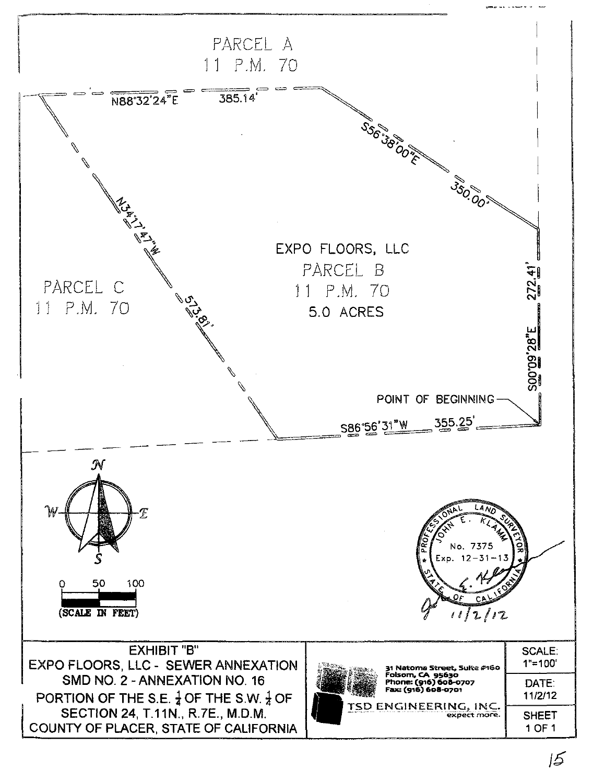

 $5$